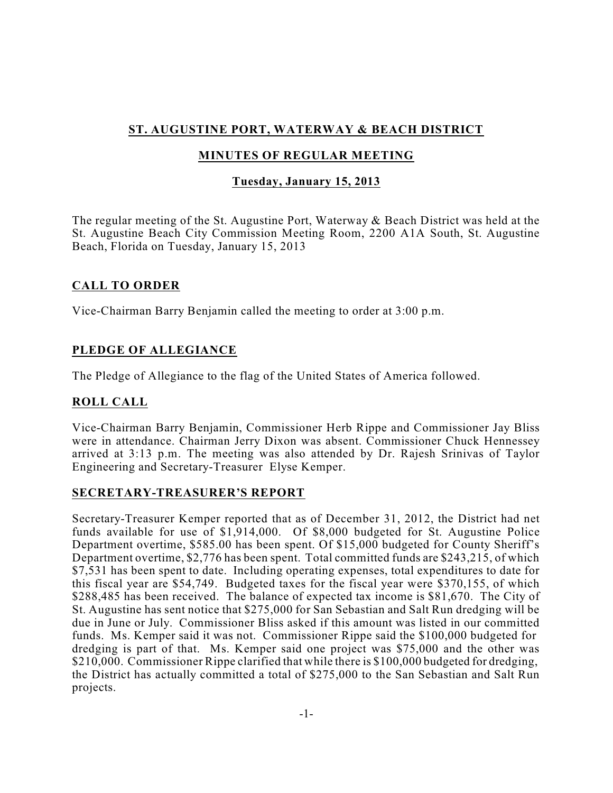# **ST. AUGUSTINE PORT, WATERWAY & BEACH DISTRICT**

## **MINUTES OF REGULAR MEETING**

## **Tuesday, January 15, 2013**

The regular meeting of the St. Augustine Port, Waterway & Beach District was held at the St. Augustine Beach City Commission Meeting Room, 2200 A1A South, St. Augustine Beach, Florida on Tuesday, January 15, 2013

## **CALL TO ORDER**

Vice-Chairman Barry Benjamin called the meeting to order at 3:00 p.m.

# **PLEDGE OF ALLEGIANCE**

The Pledge of Allegiance to the flag of the United States of America followed.

## **ROLL CALL**

Vice-Chairman Barry Benjamin, Commissioner Herb Rippe and Commissioner Jay Bliss were in attendance. Chairman Jerry Dixon was absent. Commissioner Chuck Hennessey arrived at 3:13 p.m. The meeting was also attended by Dr. Rajesh Srinivas of Taylor Engineering and Secretary-Treasurer Elyse Kemper.

## **SECRETARY-TREASURER'S REPORT**

Secretary-Treasurer Kemper reported that as of December 31, 2012, the District had net funds available for use of \$1,914,000. Of \$8,000 budgeted for St. Augustine Police Department overtime, \$585.00 has been spent. Of \$15,000 budgeted for County Sheriff's Department overtime, \$2,776 has been spent. Total committed funds are \$243,215, of which \$7,531 has been spent to date. Including operating expenses, total expenditures to date for this fiscal year are \$54,749. Budgeted taxes for the fiscal year were \$370,155, of which \$288,485 has been received. The balance of expected tax income is \$81,670. The City of St. Augustine has sent notice that \$275,000 for San Sebastian and Salt Run dredging will be due in June or July. Commissioner Bliss asked if this amount was listed in our committed funds. Ms. Kemper said it was not. Commissioner Rippe said the \$100,000 budgeted for dredging is part of that. Ms. Kemper said one project was \$75,000 and the other was \$210,000. Commissioner Rippe clarified that while there is \$100,000 budgeted for dredging, the District has actually committed a total of \$275,000 to the San Sebastian and Salt Run projects.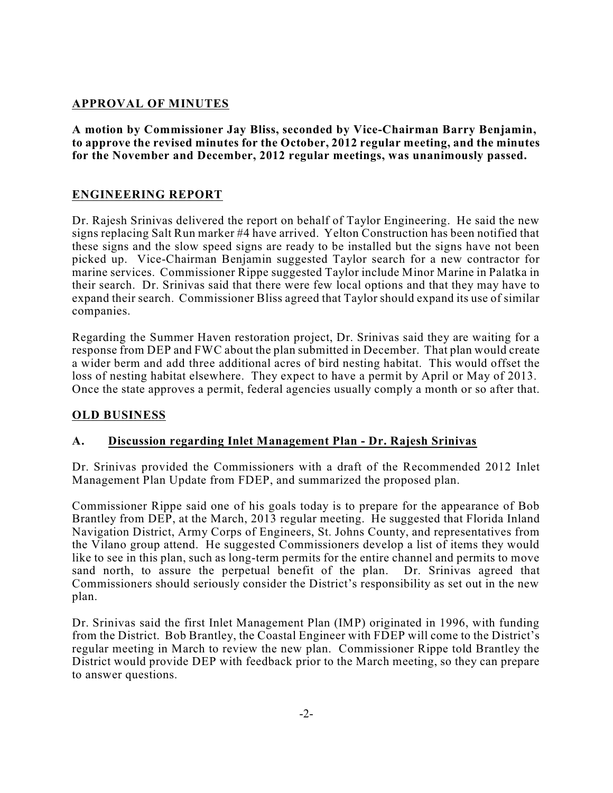### **APPROVAL OF MINUTES**

**A motion by Commissioner Jay Bliss, seconded by Vice-Chairman Barry Benjamin, to approve the revised minutes for the October, 2012 regular meeting, and the minutes for the November and December, 2012 regular meetings, was unanimously passed.**

#### **ENGINEERING REPORT**

Dr. Rajesh Srinivas delivered the report on behalf of Taylor Engineering. He said the new signs replacing Salt Run marker #4 have arrived. Yelton Construction has been notified that these signs and the slow speed signs are ready to be installed but the signs have not been picked up. Vice-Chairman Benjamin suggested Taylor search for a new contractor for marine services. Commissioner Rippe suggested Taylor include Minor Marine in Palatka in their search. Dr. Srinivas said that there were few local options and that they may have to expand their search. Commissioner Bliss agreed that Taylor should expand its use of similar companies.

Regarding the Summer Haven restoration project, Dr. Srinivas said they are waiting for a response from DEP and FWC about the plan submitted in December. That plan would create a wider berm and add three additional acres of bird nesting habitat. This would offset the loss of nesting habitat elsewhere. They expect to have a permit by April or May of 2013. Once the state approves a permit, federal agencies usually comply a month or so after that.

#### **OLD BUSINESS**

#### **A. Discussion regarding Inlet Management Plan - Dr. Rajesh Srinivas**

Dr. Srinivas provided the Commissioners with a draft of the Recommended 2012 Inlet Management Plan Update from FDEP, and summarized the proposed plan.

Commissioner Rippe said one of his goals today is to prepare for the appearance of Bob Brantley from DEP, at the March, 2013 regular meeting. He suggested that Florida Inland Navigation District, Army Corps of Engineers, St. Johns County, and representatives from the Vilano group attend. He suggested Commissioners develop a list of items they would like to see in this plan, such as long-term permits for the entire channel and permits to move sand north, to assure the perpetual benefit of the plan. Dr. Srinivas agreed that Commissioners should seriously consider the District's responsibility as set out in the new plan.

Dr. Srinivas said the first Inlet Management Plan (IMP) originated in 1996, with funding from the District. Bob Brantley, the Coastal Engineer with FDEP will come to the District's regular meeting in March to review the new plan. Commissioner Rippe told Brantley the District would provide DEP with feedback prior to the March meeting, so they can prepare to answer questions.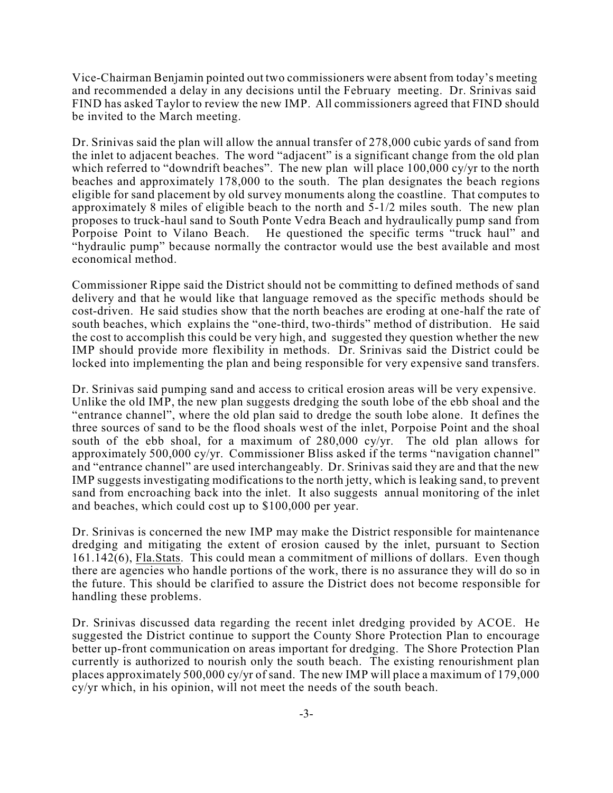Vice-Chairman Benjamin pointed out two commissioners were absent from today's meeting and recommended a delay in any decisions until the February meeting. Dr. Srinivas said FIND has asked Taylor to review the new IMP. All commissioners agreed that FIND should be invited to the March meeting.

Dr. Srinivas said the plan will allow the annual transfer of 278,000 cubic yards of sand from the inlet to adjacent beaches. The word "adjacent" is a significant change from the old plan which referred to "downdrift beaches". The new plan will place 100,000 cy/yr to the north beaches and approximately 178,000 to the south. The plan designates the beach regions eligible for sand placement by old survey monuments along the coastline. That computes to approximately 8 miles of eligible beach to the north and 5-1/2 miles south. The new plan proposes to truck-haul sand to South Ponte Vedra Beach and hydraulically pump sand from Porpoise Point to Vilano Beach. He questioned the specific terms "truck haul" and "hydraulic pump" because normally the contractor would use the best available and most economical method.

Commissioner Rippe said the District should not be committing to defined methods of sand delivery and that he would like that language removed as the specific methods should be cost-driven. He said studies show that the north beaches are eroding at one-half the rate of south beaches, which explains the "one-third, two-thirds" method of distribution. He said the cost to accomplish this could be very high, and suggested they question whether the new IMP should provide more flexibility in methods. Dr. Srinivas said the District could be locked into implementing the plan and being responsible for very expensive sand transfers.

Dr. Srinivas said pumping sand and access to critical erosion areas will be very expensive. Unlike the old IMP, the new plan suggests dredging the south lobe of the ebb shoal and the "entrance channel", where the old plan said to dredge the south lobe alone. It defines the three sources of sand to be the flood shoals west of the inlet, Porpoise Point and the shoal south of the ebb shoal, for a maximum of 280,000 cy/yr. The old plan allows for approximately 500,000 cy/yr. Commissioner Bliss asked if the terms "navigation channel" and "entrance channel" are used interchangeably. Dr. Srinivas said they are and that the new IMP suggests investigating modifications to the north jetty, which is leaking sand, to prevent sand from encroaching back into the inlet. It also suggests annual monitoring of the inlet and beaches, which could cost up to \$100,000 per year.

Dr. Srinivas is concerned the new IMP may make the District responsible for maintenance dredging and mitigating the extent of erosion caused by the inlet, pursuant to Section 161.142(6), Fla.Stats. This could mean a commitment of millions of dollars. Even though there are agencies who handle portions of the work, there is no assurance they will do so in the future. This should be clarified to assure the District does not become responsible for handling these problems.

Dr. Srinivas discussed data regarding the recent inlet dredging provided by ACOE. He suggested the District continue to support the County Shore Protection Plan to encourage better up-front communication on areas important for dredging. The Shore Protection Plan currently is authorized to nourish only the south beach. The existing renourishment plan places approximately 500,000 cy/yr of sand. The new IMP will place a maximum of 179,000 cy/yr which, in his opinion, will not meet the needs of the south beach.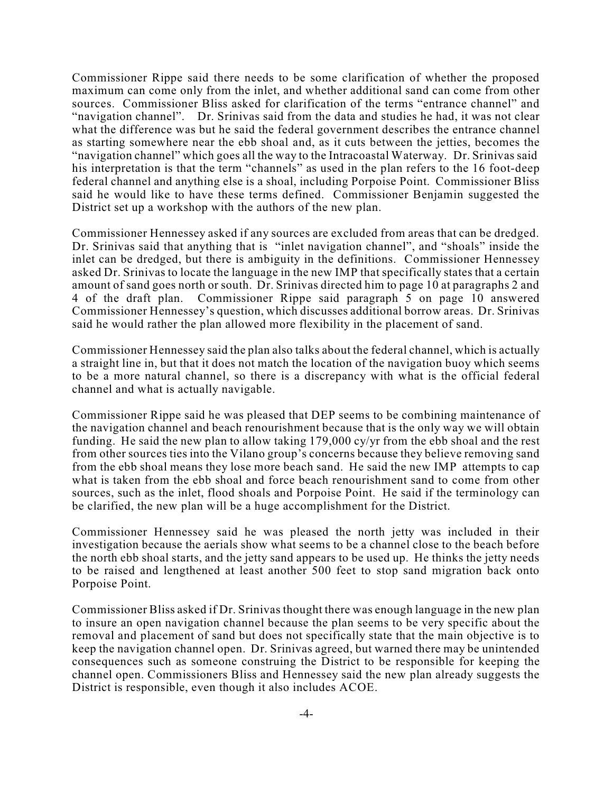Commissioner Rippe said there needs to be some clarification of whether the proposed maximum can come only from the inlet, and whether additional sand can come from other sources. Commissioner Bliss asked for clarification of the terms "entrance channel" and "navigation channel". Dr. Srinivas said from the data and studies he had, it was not clear what the difference was but he said the federal government describes the entrance channel as starting somewhere near the ebb shoal and, as it cuts between the jetties, becomes the "navigation channel" which goes all the way to the Intracoastal Waterway. Dr. Srinivas said his interpretation is that the term "channels" as used in the plan refers to the 16 foot-deep federal channel and anything else is a shoal, including Porpoise Point. Commissioner Bliss said he would like to have these terms defined. Commissioner Benjamin suggested the District set up a workshop with the authors of the new plan.

Commissioner Hennessey asked if any sources are excluded from areas that can be dredged. Dr. Srinivas said that anything that is "inlet navigation channel", and "shoals" inside the inlet can be dredged, but there is ambiguity in the definitions. Commissioner Hennessey asked Dr. Srinivas to locate the language in the new IMP that specifically states that a certain amount of sand goes north or south. Dr. Srinivas directed him to page 10 at paragraphs 2 and 4 of the draft plan. Commissioner Rippe said paragraph 5 on page 10 answered Commissioner Hennessey's question, which discusses additional borrow areas. Dr. Srinivas said he would rather the plan allowed more flexibility in the placement of sand.

Commissioner Hennessey said the plan also talks about the federal channel, which is actually a straight line in, but that it does not match the location of the navigation buoy which seems to be a more natural channel, so there is a discrepancy with what is the official federal channel and what is actually navigable.

Commissioner Rippe said he was pleased that DEP seems to be combining maintenance of the navigation channel and beach renourishment because that is the only way we will obtain funding. He said the new plan to allow taking 179,000 cy/yr from the ebb shoal and the rest from other sources ties into the Vilano group's concerns because they believe removing sand from the ebb shoal means they lose more beach sand. He said the new IMP attempts to cap what is taken from the ebb shoal and force beach renourishment sand to come from other sources, such as the inlet, flood shoals and Porpoise Point. He said if the terminology can be clarified, the new plan will be a huge accomplishment for the District.

Commissioner Hennessey said he was pleased the north jetty was included in their investigation because the aerials show what seems to be a channel close to the beach before the north ebb shoal starts, and the jetty sand appears to be used up. He thinks the jetty needs to be raised and lengthened at least another 500 feet to stop sand migration back onto Porpoise Point.

Commissioner Bliss asked if Dr. Srinivas thought there was enough language in the new plan to insure an open navigation channel because the plan seems to be very specific about the removal and placement of sand but does not specifically state that the main objective is to keep the navigation channel open. Dr. Srinivas agreed, but warned there may be unintended consequences such as someone construing the District to be responsible for keeping the channel open. Commissioners Bliss and Hennessey said the new plan already suggests the District is responsible, even though it also includes ACOE.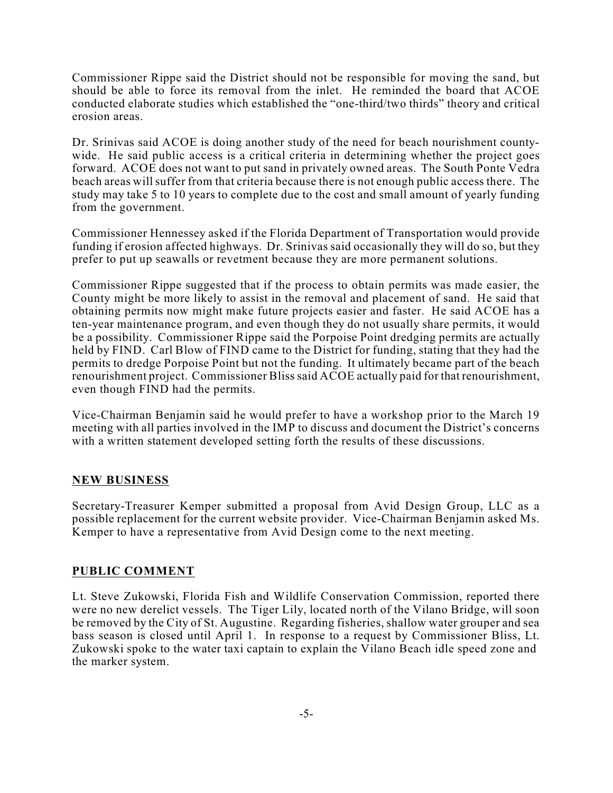Commissioner Rippe said the District should not be responsible for moving the sand, but should be able to force its removal from the inlet. He reminded the board that ACOE conducted elaborate studies which established the "one-third/two thirds" theory and critical erosion areas.

Dr. Srinivas said ACOE is doing another study of the need for beach nourishment countywide. He said public access is a critical criteria in determining whether the project goes forward. ACOE does not want to put sand in privately owned areas. The South Ponte Vedra beach areas will suffer from that criteria because there is not enough public access there. The study may take 5 to 10 years to complete due to the cost and small amount of yearly funding from the government.

Commissioner Hennessey asked if the Florida Department of Transportation would provide funding if erosion affected highways. Dr. Srinivas said occasionally they will do so, but they prefer to put up seawalls or revetment because they are more permanent solutions.

Commissioner Rippe suggested that if the process to obtain permits was made easier, the County might be more likely to assist in the removal and placement of sand. He said that obtaining permits now might make future projects easier and faster. He said ACOE has a ten-year maintenance program, and even though they do not usually share permits, it would be a possibility. Commissioner Rippe said the Porpoise Point dredging permits are actually held by FIND. Carl Blow of FIND came to the District for funding, stating that they had the permits to dredge Porpoise Point but not the funding. It ultimately became part of the beach renourishment project. Commissioner Blisssaid ACOE actually paid for that renourishment, even though FIND had the permits.

Vice-Chairman Benjamin said he would prefer to have a workshop prior to the March 19 meeting with all parties involved in the IMP to discuss and document the District's concerns with a written statement developed setting forth the results of these discussions.

#### **NEW BUSINESS**

Secretary-Treasurer Kemper submitted a proposal from Avid Design Group, LLC as a possible replacement for the current website provider. Vice-Chairman Benjamin asked Ms. Kemper to have a representative from Avid Design come to the next meeting.

#### **PUBLIC COMMENT**

Lt. Steve Zukowski, Florida Fish and Wildlife Conservation Commission, reported there were no new derelict vessels. The Tiger Lily, located north of the Vilano Bridge, will soon be removed by the City of St. Augustine. Regarding fisheries, shallow water grouper and sea bass season is closed until April 1. In response to a request by Commissioner Bliss, Lt. Zukowski spoke to the water taxi captain to explain the Vilano Beach idle speed zone and the marker system.